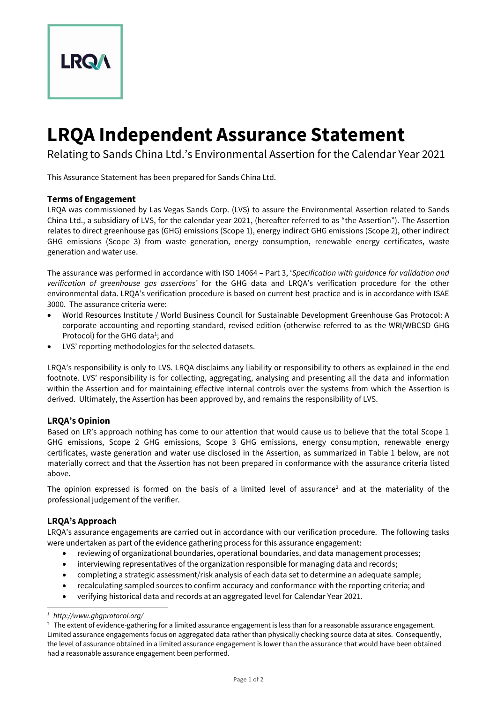

# **LRQA Independent Assurance Statement**

Relating to Sands China Ltd.'s Environmental Assertion for the Calendar Year 2021

This Assurance Statement has been prepared for Sands China Ltd.

## **Terms of Engagement**

LRQA was commissioned by Las Vegas Sands Corp. (LVS) to assure the Environmental Assertion related to Sands China Ltd., a subsidiary of LVS, for the calendar year 2021, (hereafter referred to as "the Assertion"). The Assertion relates to direct greenhouse gas (GHG) emissions (Scope 1), energy indirect GHG emissions (Scope 2), other indirect GHG emissions (Scope 3) from waste generation, energy consumption, renewable energy certificates, waste generation and water use.

The assurance was performed in accordance with ISO 14064 – Part 3, '*Specification with guidance for validation and verification of greenhouse gas assertions'* for the GHG data and LRQA's verification procedure for the other environmental data. LRQA's verification procedure is based on current best practice and is in accordance with ISAE 3000. The assurance criteria were:

- World Resources Institute / World Business Council for Sustainable Development Greenhouse Gas Protocol: A corporate accounting and reporting standard, revised edition (otherwise referred to as the WRI/WBCSD GHG Protocol) for the GHG data<sup>1</sup>; and
- LVS' reporting methodologies for the selected datasets.

LRQA's responsibility is only to LVS. LRQA disclaims any liability or responsibility to others as explained in the end footnote. LVS' responsibility is for collecting, aggregating, analysing and presenting all the data and information within the Assertion and for maintaining effective internal controls over the systems from which the Assertion is derived. Ultimately, the Assertion has been approved by, and remains the responsibility of LVS.

## **LRQA's Opinion**

Based on LR's approach nothing has come to our attention that would cause us to believe that the total Scope 1 GHG emissions, Scope 2 GHG emissions, Scope 3 GHG emissions, energy consumption, renewable energy certificates, waste generation and water use disclosed in the Assertion, as summarized in Table 1 below, are not materially correct and that the Assertion has not been prepared in conformance with the assurance criteria listed above.

The opinion expressed is formed on the basis of a limited level of assurance<sup>2</sup> and at the materiality of the professional judgement of the verifier.

## **LRQA's Approach**

LRQA's assurance engagements are carried out in accordance with our verification procedure. The following tasks were undertaken as part of the evidence gathering process for this assurance engagement:

- reviewing of organizational boundaries, operational boundaries, and data management processes;
- interviewing representatives of the organization responsible for managing data and records;
- completing a strategic assessment/risk analysis of each data set to determine an adequate sample;
- recalculating sampled sources to confirm accuracy and conformance with the reporting criteria; and
- verifying historical data and records at an aggregated level for Calendar Year 2021.

*<sup>1.</sup> http://www.ghgprotocol.org/*

<sup>&</sup>lt;sup>2.</sup> The extent of evidence-gathering for a limited assurance engagement is less than for a reasonable assurance engagement. Limited assurance engagements focus on aggregated data rather than physically checking source data at sites. Consequently, the level of assurance obtained in a limited assurance engagement is lower than the assurance that would have been obtained had a reasonable assurance engagement been performed.